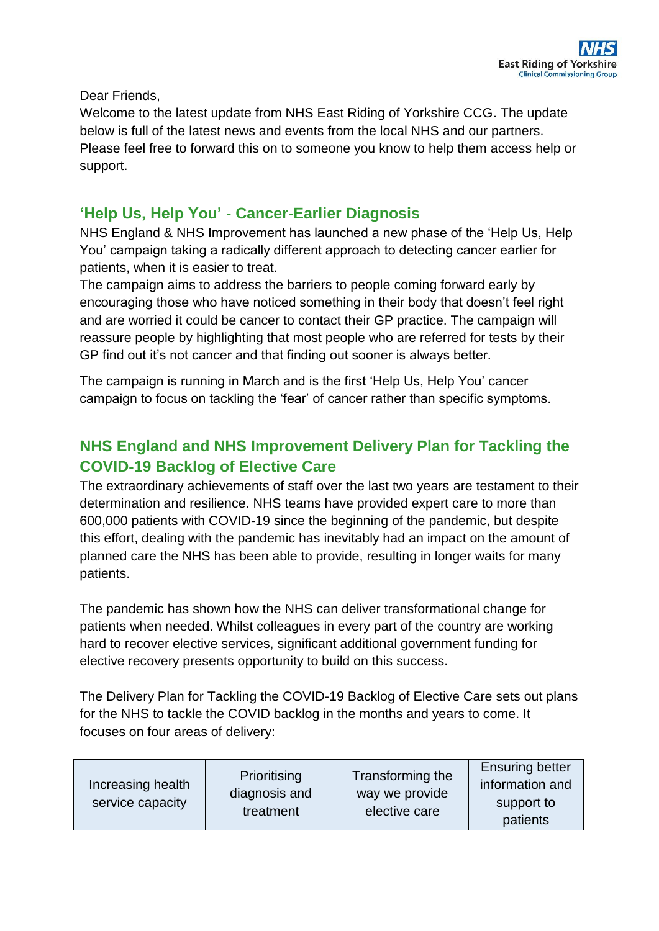Dear Friends,

Welcome to the latest update from NHS East Riding of Yorkshire CCG. The update below is full of the latest news and events from the local NHS and our partners. Please feel free to forward this on to someone you know to help them access help or support.

#### **'Help Us, Help You' - Cancer-Earlier Diagnosis**

NHS England & NHS Improvement has launched a new phase of the 'Help Us, Help You' campaign taking a radically different approach to detecting cancer earlier for patients, when it is easier to treat.

The campaign aims to address the barriers to people coming forward early by encouraging those who have noticed something in their body that doesn't feel right and are worried it could be cancer to contact their GP practice. The campaign will reassure people by highlighting that most people who are referred for tests by their GP find out it's not cancer and that finding out sooner is always better.

The campaign is running in March and is the first 'Help Us, Help You' cancer campaign to focus on tackling the 'fear' of cancer rather than specific symptoms.

### **NHS England and NHS Improvement Delivery Plan for Tackling the COVID-19 Backlog of Elective Care**

The extraordinary achievements of staff over the last two years are testament to their determination and resilience. NHS teams have provided expert care to more than 600,000 patients with COVID-19 since the beginning of the pandemic, but despite this effort, dealing with the pandemic has inevitably had an impact on the amount of planned care the NHS has been able to provide, resulting in longer waits for many patients.

The pandemic has shown how the NHS can deliver transformational change for patients when needed. Whilst colleagues in every part of the country are working hard to recover elective services, significant additional government funding for elective recovery presents opportunity to build on this success.

The Delivery Plan for Tackling the COVID-19 Backlog of Elective Care sets out plans for the NHS to tackle the COVID backlog in the months and years to come. It focuses on four areas of delivery:

| Increasing health<br>service capacity | Prioritising<br>diagnosis and<br>treatment | Transforming the<br>way we provide<br>elective care | <b>Ensuring better</b><br>information and<br>support to<br>patients |
|---------------------------------------|--------------------------------------------|-----------------------------------------------------|---------------------------------------------------------------------|
|---------------------------------------|--------------------------------------------|-----------------------------------------------------|---------------------------------------------------------------------|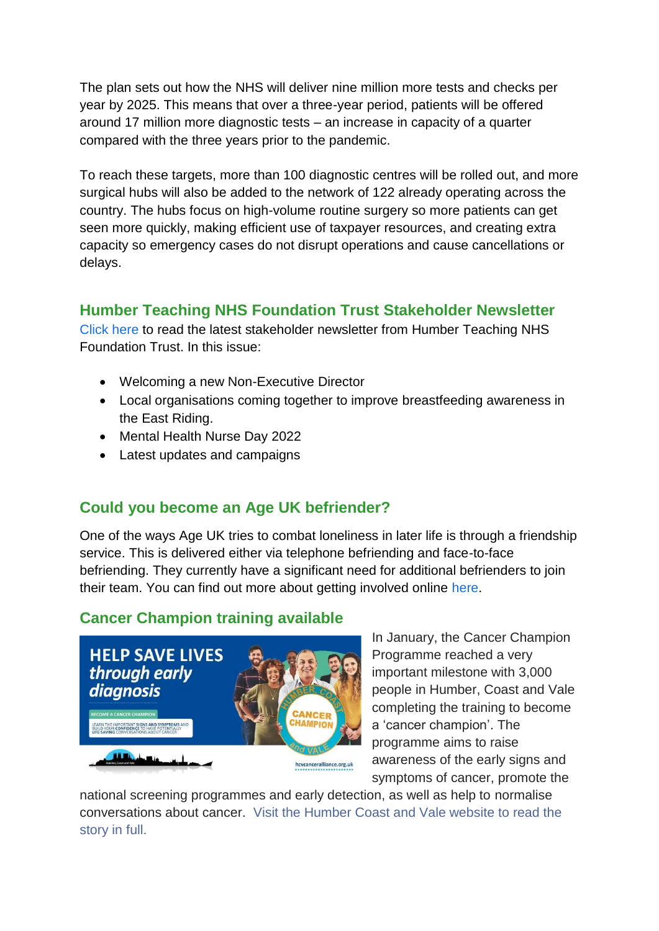The plan sets out how the NHS will deliver nine million more tests and checks per year by 2025. This means that over a three-year period, patients will be offered around 17 million more diagnostic tests – an increase in capacity of a quarter compared with the three years prior to the pandemic.

To reach these targets, more than 100 diagnostic centres will be rolled out, and more surgical hubs will also be added to the network of 122 already operating across the country. The hubs focus on high-volume routine surgery so more patients can get seen more quickly, making efficient use of taxpayer resources, and creating extra capacity so emergency cases do not disrupt operations and cause cancellations or delays.

### **Humber Teaching NHS Foundation Trust Stakeholder Newsletter**

[Click here](https://humberteachingnhsfoundationtrust.createsend.com/campaigns/reports/viewCampaign.aspx?d=t&c=D7C6E2C6F7D16B3A&ID=934D5D8CE48FCB0E2540EF23F30FEDED&temp=False&tx=0&source=Report) to read the latest stakeholder newsletter from Humber Teaching NHS Foundation Trust. In this issue:

- Welcoming a new Non-Executive Director
- Local organisations coming together to improve breastfeeding awareness in the East Riding.
- Mental Health Nurse Day 2022
- Latest updates and campaigns

# **Could you become an Age UK befriender?**

One of the ways Age UK tries to combat loneliness in later life is through a friendship service. This is delivered either via telephone befriending and face-to-face befriending. They currently have a significant need for additional befrienders to join their team. You can find out more about getting involved online [here.](https://www.ageuk.org.uk/hull/get-involved/volunteer/befriending-volunteer/)

# **Cancer Champion training available**



In January, the Cancer Champion Programme reached a very important milestone with 3,000 people in Humber, Coast and Vale completing the training to become a 'cancer champion'. The programme aims to raise awareness of the early signs and symptoms of cancer, promote the

national screening programmes and early detection, as well as help to normalise conversations about cancer. [Visit the Humber Coast and Vale website to read the](https://humbercoastandvale.org.uk/2022/01/10/cancer-champion-programme-has-reached-a-new-milestone-with-now-more-than-3000-cancer-champions/)  [story in full.](https://humbercoastandvale.org.uk/2022/01/10/cancer-champion-programme-has-reached-a-new-milestone-with-now-more-than-3000-cancer-champions/)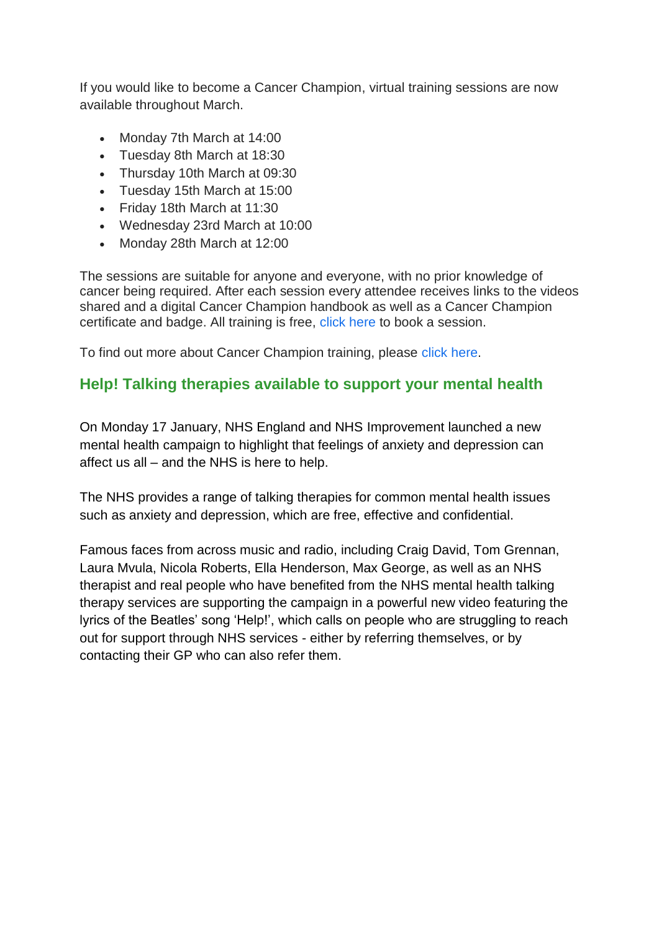If you would like to become a Cancer Champion, virtual training sessions are now available throughout March.

- Monday 7th March at 14:00
- Tuesday 8th March at 18:30
- Thursday 10th March at 09:30
- Tuesday 15th March at 15:00
- Friday 18th March at 11:30
- Wednesday 23rd March at 10:00
- Monday 28th March at 12:00

The sessions are suitable for anyone and everyone, with no prior knowledge of cancer being required. After each session every attendee receives links to the videos shared and a digital Cancer Champion handbook as well as a Cancer Champion certificate and badge. All training is free, [click here](https://www.eventbrite.co.uk/e/cancer-champions-free-online-awareness-sessions-tickets-115965246173) to book a session.

To find out more about Cancer Champion training, please [click here.](https://humbercoastandvale.org.uk/2022/01/10/cancer-champion-programme-has-reached-a-new-milestone-with-now-more-than-3000-cancer-champions/)

#### **Help! Talking therapies available to support your mental health**

On Monday 17 January, NHS England and NHS Improvement launched a new mental health campaign to highlight that feelings of anxiety and depression can affect us all – and the NHS is here to help.

The NHS provides a range of talking therapies for common mental health issues such as anxiety and depression, which are free, effective and confidential.

Famous faces from across music and radio, including Craig David, Tom Grennan, Laura Mvula, Nicola Roberts, Ella Henderson, Max George, as well as an NHS therapist and real people who have benefited from the NHS mental health talking therapy services are supporting the campaign in a powerful new video featuring the lyrics of the Beatles' song 'Help!', which calls on people who are struggling to reach out for support through NHS services - either by referring themselves, or by contacting their GP who can also refer them.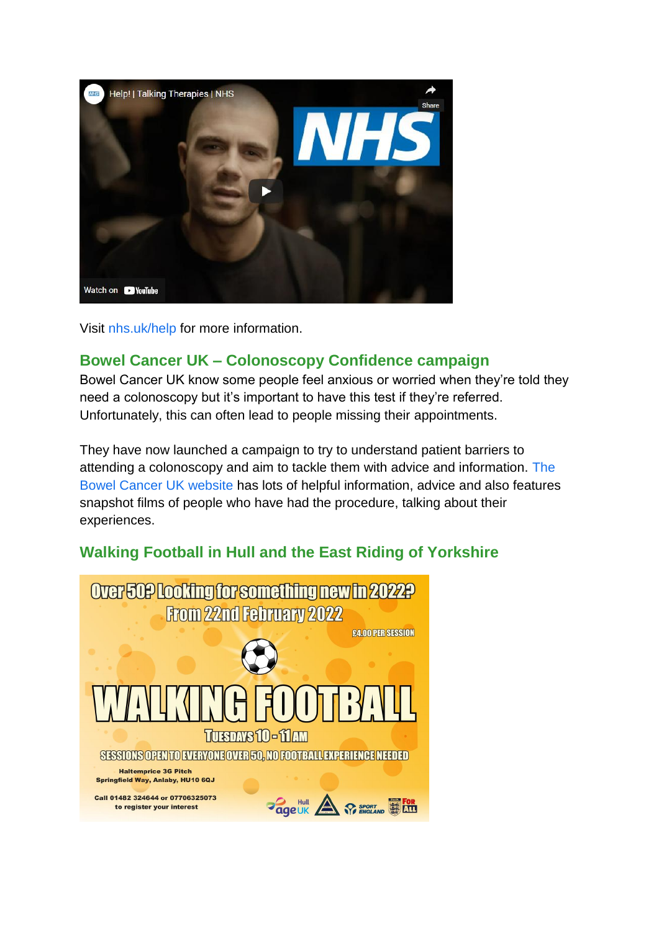

Visit [nhs.uk/help](https://www.england.nhs.uk/2022/01/nhs-launches-landmark-mental-health-campaign-with-help-from-the-beatles/) for more information.

#### **Bowel Cancer UK – Colonoscopy Confidence campaign**

Bowel Cancer UK know some people feel anxious or worried when they're told they need a colonoscopy but it's important to have this test if they're referred. Unfortunately, this can often lead to people missing their appointments.

They have now launched a campaign to try to understand patient barriers to attending a colonoscopy and aim to tackle them with advice and information. [The](https://www.bowelcanceruk.org.uk/about-bowel-cancer/diagnosis/hospital-tests/going-for-a-colonoscopy/)  [Bowel Cancer UK website](https://www.bowelcanceruk.org.uk/about-bowel-cancer/diagnosis/hospital-tests/going-for-a-colonoscopy/) has lots of helpful information, advice and also features snapshot films of people who have had the procedure, talking about their experiences.

# **Walking Football in Hull and the East Riding of Yorkshire**

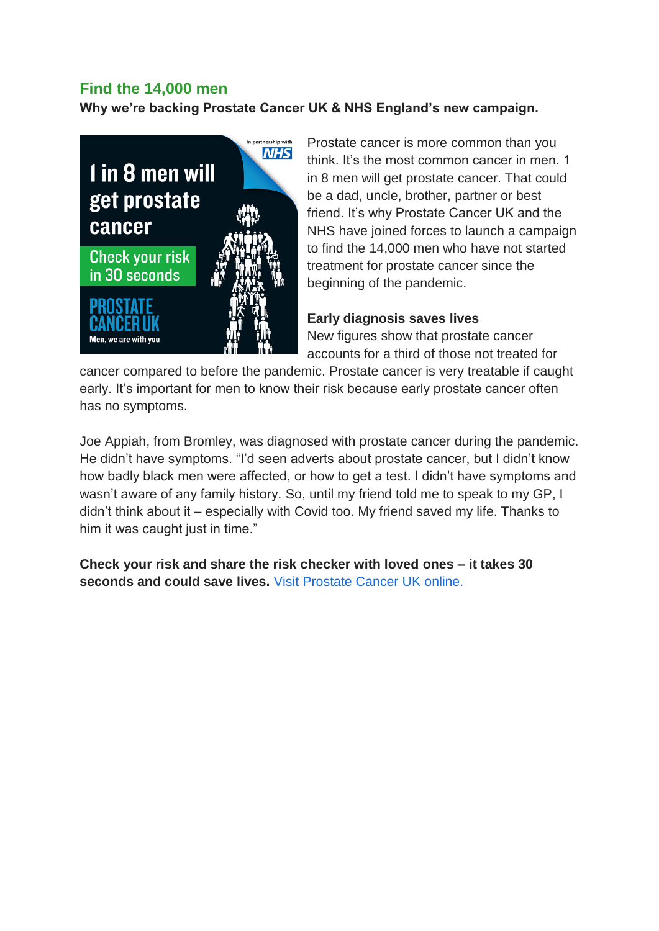#### **Find the 14,000 men**

**Why we're backing Prostate Cancer UK & NHS England's new campaign.**



Prostate cancer is more common than you think. It's the most common cancer in men. 1 in 8 men will get prostate cancer. That could be a dad, uncle, brother, partner or best friend. It's why Prostate Cancer UK and the NHS have joined forces to launch a campaign to find the 14,000 men who have not started treatment for prostate cancer since the beginning of the pandemic.

#### **Early diagnosis saves lives**

New figures show that prostate cancer accounts for a third of those not treated for

cancer compared to before the pandemic. Prostate cancer is very treatable if caught early. It's important for men to know their risk because early prostate cancer often has no symptoms.

Joe Appiah, from Bromley, was diagnosed with prostate cancer during the pandemic. He didn't have symptoms. "I'd seen adverts about prostate cancer, but I didn't know how badly black men were affected, or how to get a test. I didn't have symptoms and wasn't aware of any family history. So, until my friend told me to speak to my GP, I didn't think about it – especially with Covid too. My friend saved my life. Thanks to him it was caught just in time."

**Check your risk and share the risk checker with loved ones – it takes 30 seconds and could save lives.** [Visit Prostate Cancer](https://prostatecanceruk.org/risk-checker.html?utm_source=hcvc-alliance&utm_medium=affiliate-referral&utm_campaign=risk-checker&utm_content=organic-link&utm_term=short-url) UK online.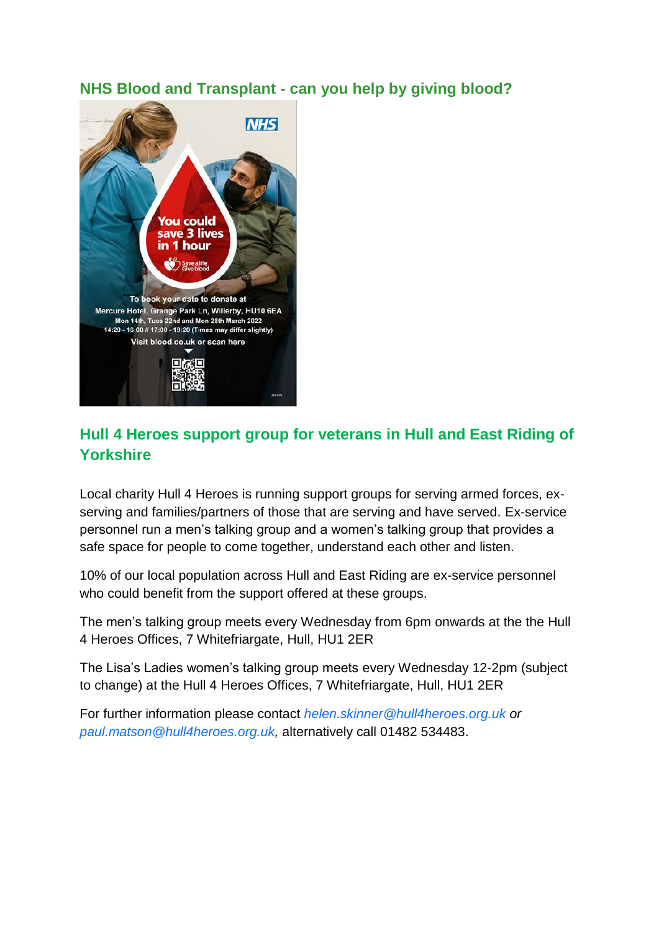#### **NHS Blood and Transplant - can you help by giving blood?**



# **Hull 4 Heroes support group for veterans in Hull and East Riding of Yorkshire**

Local charity Hull 4 Heroes is running support groups for serving armed forces, exserving and families/partners of those that are serving and have served. Ex-service personnel run a men's talking group and a women's talking group that provides a safe space for people to come together, understand each other and listen.

10% of our local population across Hull and East Riding are ex-service personnel who could benefit from the support offered at these groups.

The men's talking group meets every Wednesday from 6pm onwards at the the Hull 4 Heroes Offices, 7 Whitefriargate, Hull, HU1 2ER

The Lisa's Ladies women's talking group meets every Wednesday 12-2pm (subject to change) at the Hull 4 Heroes Offices, 7 Whitefriargate, Hull, HU1 2ER

For further information please contact *[helen.skinner@hull4heroes.org.uk](mailto:helen.skinner@hull4heroes.org.uk) or [paul.matson@hull4heroes.org.uk,](mailto:paul.matson@hull4heroes.org.uk)* alternatively call 01482 534483.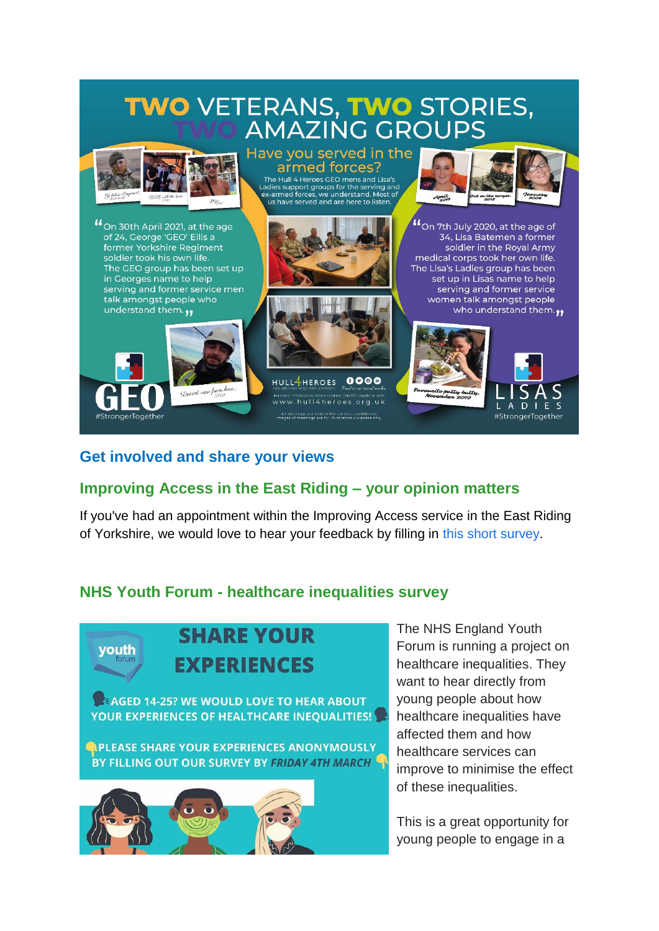# **TWO VETERANS, TWO STORIES, AMAZING GROUPS**



<sup>46</sup> On 30th April 2021, at the age of 24, George 'GEO' Ellis a former Yorkshire Regiment soldier took his own life. The GEO group has been set up in Georges name to help serving and former service men talk amongst people who understand them.



#### Have you served in the armed forces? The Hull 4 Heroes GEO mens and Lisa's

adies support groups for the serving and<br>ex-armed forces, we understand. Most of





HULL4HEROES 0000 www.hull4heroes.org.uk All meetings are held in the strictest confidence.<br>Images of meetings are for Illustration purposes only



"On 7th July 2020, at the age of 34, Lisa Batemen a former soldier in the Royal Army medical corps took her own life. The Lisa's Ladies group has been set up in Lisas name to help serving and former service women talk amongst people who understand them.



#### **Get involved and share your views**

# **Improving Access in the East Riding – your opinion matters**

If you've had an appointment within the Improving Access service in the East Riding of Yorkshire, we would love to hear your feedback by filling in [this short survey.](https://docs.google.com/forms/d/e/1FAIpQLSd9XhdgHZoCTcMW2ZVaIZXSe6BQldnEgImtlyjg644BAzDMjQ/viewform)

# **NHS Youth Forum - healthcare inequalities survey**



# **SHARE YOUR EXPERIENCES**

**AGED 14-25? WE WOULD LOVE TO HEAR ABOUT** YOUR EXPERIENCES OF HEALTHCARE INEOUALITIES!

**CPLEASE SHARE YOUR EXPERIENCES ANONYMOUSLY** BY FILLING OUT OUR SURVEY BY FRIDAY 4TH MARCH



The NHS England Youth Forum is running a project on healthcare inequalities. They want to hear directly from young people about how healthcare inequalities have affected them and how healthcare services can improve to minimise the effect of these inequalities.

This is a great opportunity for young people to engage in a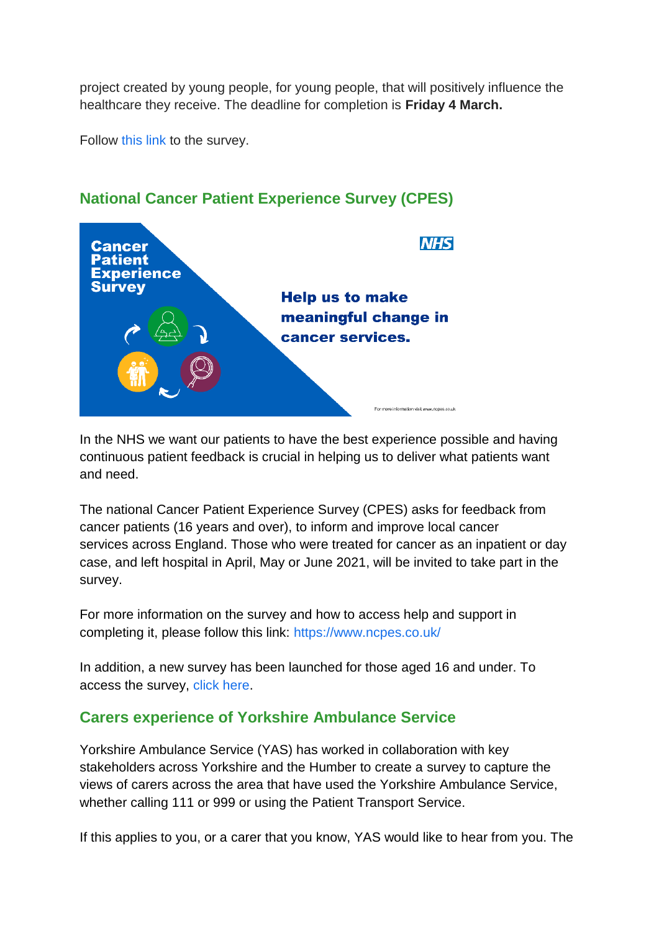project created by young people, for young people, that will positively influence the healthcare they receive. The deadline for completion is **Friday 4 March.**

Follow [this link](https://docs.google.com/forms/d/e/1FAIpQLScjV3nHioQgZ-S_2cKrQHj4US8RpoVtAi7YJe1LKww3Rp-CdA/viewform?vc=0&c=0&w=1&flr=0) to the survey.



# **National Cancer Patient Experience Survey (CPES)**

In the NHS we want our patients to have the best experience possible and having continuous patient feedback is crucial in helping us to deliver what patients want and need.

The national Cancer Patient Experience Survey (CPES) asks for feedback from cancer patients (16 years and over), to inform and improve local cancer services across England. Those who were treated for cancer as an inpatient or day case, and left hospital in April, May or June 2021, will be invited to take part in the survey.

For more information on the survey and how to access help and support in completing it, please follow this link:<https://www.ncpes.co.uk/>

In addition, a new survey has been launched for those aged 16 and under. To access the survey, [click here.](https://www.under16cancerexperiencesurvey.co.uk/)

# **Carers experience of Yorkshire Ambulance Service**

Yorkshire Ambulance Service (YAS) has worked in collaboration with key stakeholders across Yorkshire and the Humber to create a survey to capture the views of carers across the area that have used the Yorkshire Ambulance Service, whether calling 111 or 999 or using the Patient Transport Service.

If this applies to you, or a carer that you know, YAS would like to hear from you. The